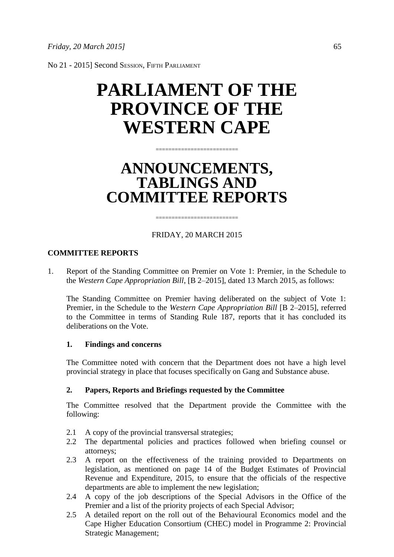No 21 - 2015] Second SESSION, FIFTH PARLIAMENT

# **PARLIAMENT OF THE PROVINCE OF THE WESTERN CAPE**

## **ANNOUNCEMENTS, TABLINGS AND COMMITTEE REPORTS**

==========================

## FRIDAY, 20 MARCH 2015

==========================

#### **COMMITTEE REPORTS**

1. Report of the Standing Committee on Premier on Vote 1: Premier, in the Schedule to the *Western Cape Appropriation Bill*, [B 2–2015], dated 13 March 2015, as follows:

The Standing Committee on Premier having deliberated on the subject of Vote 1: Premier, in the Schedule to the *Western Cape Appropriation Bill* [B 2–2015], referred to the Committee in terms of Standing Rule 187, reports that it has concluded its deliberations on the Vote.

#### **1. Findings and concerns**

The Committee noted with concern that the Department does not have a high level provincial strategy in place that focuses specifically on Gang and Substance abuse.

#### **2. Papers, Reports and Briefings requested by the Committee**

The Committee resolved that the Department provide the Committee with the following:

- 2.1 A copy of the provincial transversal strategies;
- 2.2 The departmental policies and practices followed when briefing counsel or attorneys;
- 2.3 A report on the effectiveness of the training provided to Departments on legislation, as mentioned on page 14 of the Budget Estimates of Provincial Revenue and Expenditure, 2015, to ensure that the officials of the respective departments are able to implement the new legislation;
- 2.4 A copy of the job descriptions of the Special Advisors in the Office of the Premier and a list of the priority projects of each Special Advisor;
- 2.5 A detailed report on the roll out of the Behavioural Economics model and the Cape Higher Education Consortium (CHEC) model in Programme 2: Provincial Strategic Management;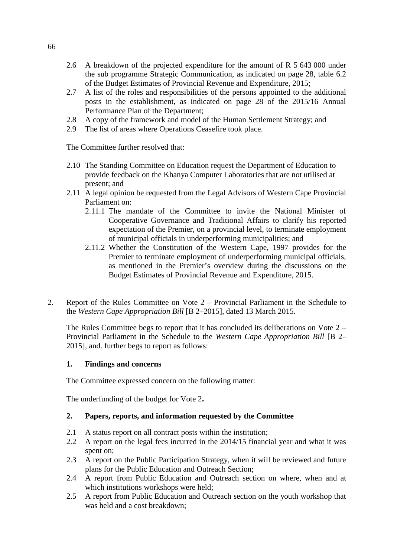- 2.6 A breakdown of the projected expenditure for the amount of R 5 643 000 under the sub programme Strategic Communication, as indicated on page 28, table 6.2 of the Budget Estimates of Provincial Revenue and Expenditure, 2015;
- 2.7 A list of the roles and responsibilities of the persons appointed to the additional posts in the establishment, as indicated on page 28 of the 2015/16 Annual Performance Plan of the Department;
- 2.8 A copy of the framework and model of the Human Settlement Strategy; and
- 2.9 The list of areas where Operations Ceasefire took place.

The Committee further resolved that:

- 2.10 The Standing Committee on Education request the Department of Education to provide feedback on the Khanya Computer Laboratories that are not utilised at present; and
- 2.11 A legal opinion be requested from the Legal Advisors of Western Cape Provincial Parliament on:
	- 2.11.1 The mandate of the Committee to invite the National Minister of Cooperative Governance and Traditional Affairs to clarify his reported expectation of the Premier, on a provincial level, to terminate employment of municipal officials in underperforming municipalities; and
	- 2.11.2 Whether the Constitution of the Western Cape, 1997 provides for the Premier to terminate employment of underperforming municipal officials, as mentioned in the Premier's overview during the discussions on the Budget Estimates of Provincial Revenue and Expenditure, 2015.
- 2. Report of the Rules Committee on Vote 2 Provincial Parliament in the Schedule to the *Western Cape Appropriation Bill* [B 2–2015], dated 13 March 2015.

The Rules Committee begs to report that it has concluded its deliberations on Vote 2 – Provincial Parliament in the Schedule to the *Western Cape Appropriation Bill* [B 2– 2015], and. further begs to report as follows:

#### **1. Findings and concerns**

The Committee expressed concern on the following matter:

The underfunding of the budget for Vote 2**.**

#### **2. Papers, reports, and information requested by the Committee**

- 2.1 A status report on all contract posts within the institution;
- 2.2 A report on the legal fees incurred in the 2014/15 financial year and what it was spent on;
- 2.3 A report on the Public Participation Strategy, when it will be reviewed and future plans for the Public Education and Outreach Section;
- 2.4 A report from Public Education and Outreach section on where, when and at which institutions workshops were held;
- 2.5 A report from Public Education and Outreach section on the youth workshop that was held and a cost breakdown;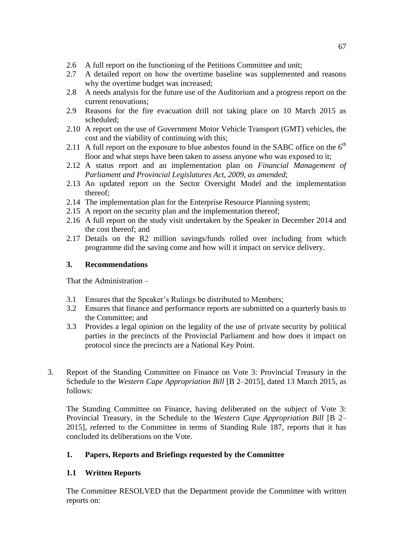- 2.6 A full report on the functioning of the Petitions Committee and unit;
- 2.7 A detailed report on how the overtime baseline was supplemented and reasons why the overtime budget was increased;
- 2.8 A needs analysis for the future use of the Auditorium and a progress report on the current renovations;
- 2.9 Reasons for the fire evacuation drill not taking place on 10 March 2015 as scheduled;
- 2.10 A report on the use of Government Motor Vehicle Transport (GMT) vehicles, the cost and the viability of continuing with this;
- 2.11 A full report on the exposure to blue asbestos found in the SABC office on the  $6<sup>th</sup>$ floor and what steps have been taken to assess anyone who was exposed to it;
- 2.12 A status report and an implementation plan on *Financial Management of Parliament and Provincial Legislatures Act, 2009, as amended*;
- 2.13 An updated report on the Sector Oversight Model and the implementation thereof;
- 2.14 The implementation plan for the Enterprise Resource Planning system;
- 2.15 A report on the security plan and the implementation thereof;
- 2.16 A full report on the study visit undertaken by the Speaker in December 2014 and the cost thereof; and
- 2.17 Details on the R2 million savings/funds rolled over including from which programme did the saving come and how will it impact on service delivery.

## **3. Recommendations**

That the Administration –

- 3.1 Ensures that the Speaker's Rulings be distributed to Members;
- 3.2 Ensures that finance and performance reports are submitted on a quarterly basis to the Committee; and
- 3.3 Provides a legal opinion on the legality of the use of private security by political parties in the precincts of the Provincial Parliament and how does it impact on protocol since the precincts are a National Key Point.
- 3. Report of the Standing Committee on Finance on Vote 3: Provincial Treasury in the Schedule to the *Western Cape Appropriation Bill* [B 2–2015], dated 13 March 2015, as follows:

The Standing Committee on Finance, having deliberated on the subject of Vote 3: Provincial Treasury, in the Schedule to the *Western Cape Appropriation Bill* [B 2– 2015], referred to the Committee in terms of Standing Rule 187, reports that it has concluded its deliberations on the Vote.

## **1. Papers, Reports and Briefings requested by the Committee**

## **1.1 Written Reports**

The Committee RESOLVED that the Department provide the Committee with written reports on: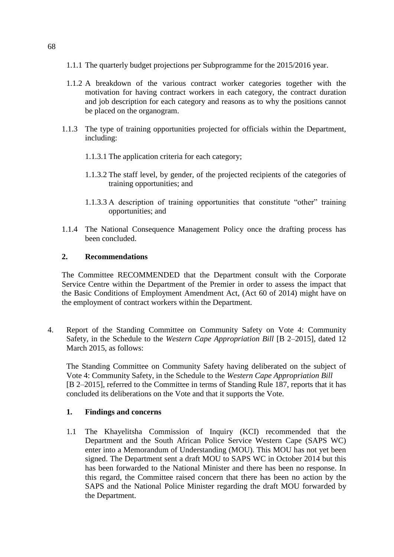- 1.1.1 The quarterly budget projections per Subprogramme for the 2015/2016 year.
- 1.1.2 A breakdown of the various contract worker categories together with the motivation for having contract workers in each category, the contract duration and job description for each category and reasons as to why the positions cannot be placed on the organogram.
- 1.1.3 The type of training opportunities projected for officials within the Department, including:
	- 1.1.3.1 The application criteria for each category;
	- 1.1.3.2 The staff level, by gender, of the projected recipients of the categories of training opportunities; and
	- 1.1.3.3 A description of training opportunities that constitute "other" training opportunities; and
- 1.1.4 The National Consequence Management Policy once the drafting process has been concluded.

## **2. Recommendations**

The Committee RECOMMENDED that the Department consult with the Corporate Service Centre within the Department of the Premier in order to assess the impact that the Basic Conditions of Employment Amendment Act, (Act 60 of 2014) might have on the employment of contract workers within the Department.

4. Report of the Standing Committee on Community Safety on Vote 4: Community Safety, in the Schedule to the *Western Cape Appropriation Bill* [B 2–2015], dated 12 March 2015, as follows:

The Standing Committee on Community Safety having deliberated on the subject of Vote 4: Community Safety, in the Schedule to the *Western Cape Appropriation Bill* [B 2–2015], referred to the Committee in terms of Standing Rule 187, reports that it has concluded its deliberations on the Vote and that it supports the Vote.

#### **1. Findings and concerns**

1.1 The Khayelitsha Commission of Inquiry (KCI) recommended that the Department and the South African Police Service Western Cape (SAPS WC) enter into a Memorandum of Understanding (MOU). This MOU has not yet been signed. The Department sent a draft MOU to SAPS WC in October 2014 but this has been forwarded to the National Minister and there has been no response. In this regard, the Committee raised concern that there has been no action by the SAPS and the National Police Minister regarding the draft MOU forwarded by the Department.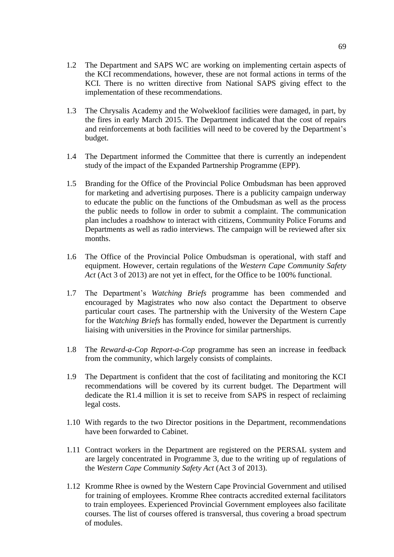- 1.2 The Department and SAPS WC are working on implementing certain aspects of the KCI recommendations, however, these are not formal actions in terms of the KCI. There is no written directive from National SAPS giving effect to the implementation of these recommendations.
- 1.3 The Chrysalis Academy and the Wolwekloof facilities were damaged, in part, by the fires in early March 2015. The Department indicated that the cost of repairs and reinforcements at both facilities will need to be covered by the Department's budget.
- 1.4 The Department informed the Committee that there is currently an independent study of the impact of the Expanded Partnership Programme (EPP).
- 1.5 Branding for the Office of the Provincial Police Ombudsman has been approved for marketing and advertising purposes. There is a publicity campaign underway to educate the public on the functions of the Ombudsman as well as the process the public needs to follow in order to submit a complaint. The communication plan includes a roadshow to interact with citizens, Community Police Forums and Departments as well as radio interviews. The campaign will be reviewed after six months.
- 1.6 The Office of the Provincial Police Ombudsman is operational, with staff and equipment. However, certain regulations of the *Western Cape Community Safety Act* (Act 3 of 2013) are not yet in effect, for the Office to be 100% functional.
- 1.7 The Department's *Watching Briefs* programme has been commended and encouraged by Magistrates who now also contact the Department to observe particular court cases. The partnership with the University of the Western Cape for the *Watching Briefs* has formally ended, however the Department is currently liaising with universities in the Province for similar partnerships.
- 1.8 The *Reward-a-Cop Report-a-Cop* programme has seen an increase in feedback from the community, which largely consists of complaints.
- 1.9 The Department is confident that the cost of facilitating and monitoring the KCI recommendations will be covered by its current budget. The Department will dedicate the R1.4 million it is set to receive from SAPS in respect of reclaiming legal costs.
- 1.10 With regards to the two Director positions in the Department, recommendations have been forwarded to Cabinet.
- 1.11 Contract workers in the Department are registered on the PERSAL system and are largely concentrated in Programme 3, due to the writing up of regulations of the *Western Cape Community Safety Act* (Act 3 of 2013).
- 1.12 Kromme Rhee is owned by the Western Cape Provincial Government and utilised for training of employees. Kromme Rhee contracts accredited external facilitators to train employees. Experienced Provincial Government employees also facilitate courses. The list of courses offered is transversal, thus covering a broad spectrum of modules.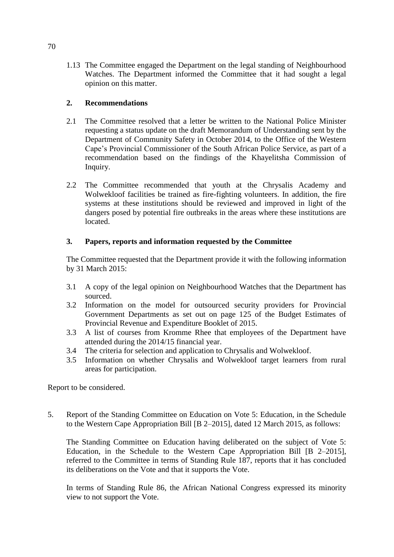1.13 The Committee engaged the Department on the legal standing of Neighbourhood Watches. The Department informed the Committee that it had sought a legal opinion on this matter.

## **2. Recommendations**

- 2.1 The Committee resolved that a letter be written to the National Police Minister requesting a status update on the draft Memorandum of Understanding sent by the Department of Community Safety in October 2014, to the Office of the Western Cape's Provincial Commissioner of the South African Police Service, as part of a recommendation based on the findings of the Khayelitsha Commission of Inquiry.
- 2.2 The Committee recommended that youth at the Chrysalis Academy and Wolwekloof facilities be trained as fire-fighting volunteers. In addition, the fire systems at these institutions should be reviewed and improved in light of the dangers posed by potential fire outbreaks in the areas where these institutions are located.

## **3. Papers, reports and information requested by the Committee**

The Committee requested that the Department provide it with the following information by 31 March 2015:

- 3.1 A copy of the legal opinion on Neighbourhood Watches that the Department has sourced.
- 3.2 Information on the model for outsourced security providers for Provincial Government Departments as set out on page 125 of the Budget Estimates of Provincial Revenue and Expenditure Booklet of 2015.
- 3.3 A list of courses from Kromme Rhee that employees of the Department have attended during the 2014/15 financial year.
- 3.4 The criteria for selection and application to Chrysalis and Wolwekloof.
- 3.5 Information on whether Chrysalis and Wolwekloof target learners from rural areas for participation.

Report to be considered.

5. Report of the Standing Committee on Education on Vote 5: Education, in the Schedule to the Western Cape Appropriation Bill [B 2–2015], dated 12 March 2015, as follows:

The Standing Committee on Education having deliberated on the subject of Vote 5: Education, in the Schedule to the Western Cape Appropriation Bill [B 2–2015], referred to the Committee in terms of Standing Rule 187, reports that it has concluded its deliberations on the Vote and that it supports the Vote.

In terms of Standing Rule 86, the African National Congress expressed its minority view to not support the Vote.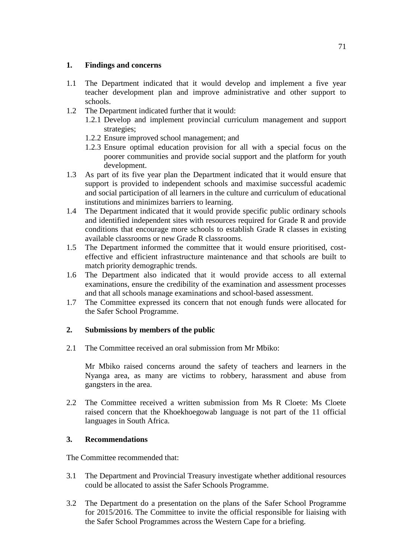## **1. Findings and concerns**

- 1.1 The Department indicated that it would develop and implement a five year teacher development plan and improve administrative and other support to schools.
- 1.2 The Department indicated further that it would:
	- 1.2.1 Develop and implement provincial curriculum management and support strategies;
	- 1.2.2 Ensure improved school management; and
	- 1.2.3 Ensure optimal education provision for all with a special focus on the poorer communities and provide social support and the platform for youth development.
- 1.3 As part of its five year plan the Department indicated that it would ensure that support is provided to independent schools and maximise successful academic and social participation of all learners in the culture and curriculum of educational institutions and minimizes barriers to learning.
- 1.4 The Department indicated that it would provide specific public ordinary schools and identified independent sites with resources required for Grade R and provide conditions that encourage more schools to establish Grade R classes in existing available classrooms or new Grade R classrooms.
- 1.5 The Department informed the committee that it would ensure prioritised, costeffective and efficient infrastructure maintenance and that schools are built to match priority demographic trends.
- 1.6 The Department also indicated that it would provide access to all external examinations, ensure the credibility of the examination and assessment processes and that all schools manage examinations and school-based assessment.
- 1.7 The Committee expressed its concern that not enough funds were allocated for the Safer School Programme.

## **2. Submissions by members of the public**

2.1 The Committee received an oral submission from Mr Mbiko:

Mr Mbiko raised concerns around the safety of teachers and learners in the Nyanga area, as many are victims to robbery, harassment and abuse from gangsters in the area.

2.2 The Committee received a written submission from Ms R Cloete: Ms Cloete raised concern that the Khoekhoegowab language is not part of the 11 official languages in South Africa.

## **3. Recommendations**

The Committee recommended that:

- 3.1 The Department and Provincial Treasury investigate whether additional resources could be allocated to assist the Safer Schools Programme.
- 3.2 The Department do a presentation on the plans of the Safer School Programme for 2015/2016. The Committee to invite the official responsible for liaising with the Safer School Programmes across the Western Cape for a briefing.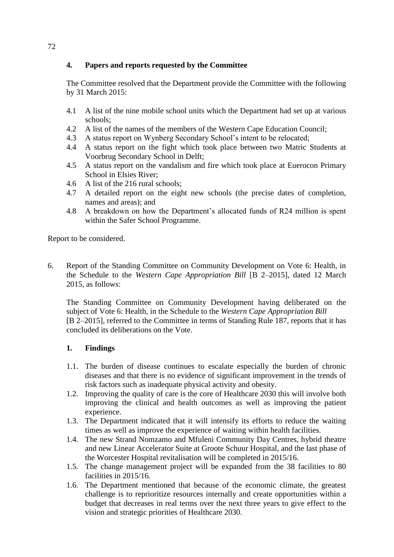## **4. Papers and reports requested by the Committee**

The Committee resolved that the Department provide the Committee with the following by 31 March 2015:

- 4.1 A list of the nine mobile school units which the Department had set up at various schools;
- 4.2 A list of the names of the members of the Western Cape Education Council;
- 4.3 A status report on Wynberg Secondary School's intent to be relocated;
- 4.4 A status report on the fight which took place between two Matric Students at Voorbrug Secondary School in Delft;
- 4.5 A status report on the vandalism and fire which took place at Euerocon Primary School in Elsies River;
- 4.6 A list of the 216 rural schools;
- 4.7 A detailed report on the eight new schools (the precise dates of completion, names and areas); and
- 4.8 A breakdown on how the Department's allocated funds of R24 million is spent within the Safer School Programme.

Report to be considered.

6. Report of the Standing Committee on Community Development on Vote 6: Health, in the Schedule to the *Western Cape Appropriation Bill* [B 2–2015], dated 12 March 2015, as follows:

The Standing Committee on Community Development having deliberated on the subject of Vote 6: Health, in the Schedule to the *Western Cape Appropriation Bill* [B 2–2015], referred to the Committee in terms of Standing Rule 187, reports that it has concluded its deliberations on the Vote.

#### **1. Findings**

- 1.1. The burden of disease continues to escalate especially the burden of chronic diseases and that there is no evidence of significant improvement in the trends of risk factors such as inadequate physical activity and obesity.
- 1.2. Improving the quality of care is the core of Healthcare 2030 this will involve both improving the clinical and health outcomes as well as improving the patient experience.
- 1.3. The Department indicated that it will intensify its efforts to reduce the waiting times as well as improve the experience of waiting within health facilities.
- 1.4. The new Strand Nomzamo and Mfuleni Community Day Centres, hybrid theatre and new Linear Accelerator Suite at Groote Schuur Hospital, and the last phase of the Worcester Hospital revitalisation will be completed in 2015/16.
- 1.5. The change management project will be expanded from the 38 facilities to 80 facilities in 2015/16.
- 1.6. The Department mentioned that because of the economic climate, the greatest challenge is to reprioritize resources internally and create opportunities within a budget that decreases in real terms over the next three years to give effect to the vision and strategic priorities of Healthcare 2030.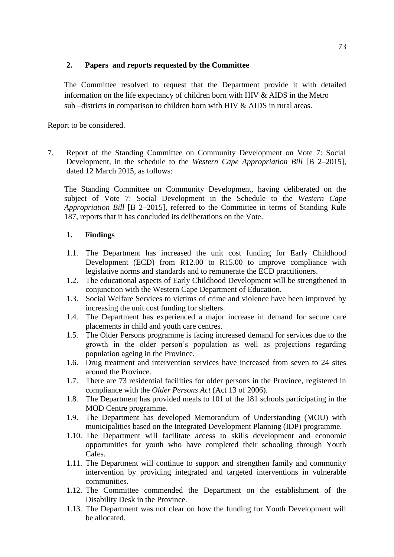## **2. Papers and reports requested by the Committee**

The Committee resolved to request that the Department provide it with detailed information on the life expectancy of children born with HIV & AIDS in the Metro sub  $-$ districts in comparison to children born with HIV  $\&$  AIDS in rural areas.

Report to be considered.

7. Report of the Standing Committee on Community Development on Vote 7: Social Development, in the schedule to the *Western Cape Appropriation Bill* [B 2–2015], dated 12 March 2015, as follows:

The Standing Committee on Community Development, having deliberated on the subject of Vote 7: Social Development in the Schedule to the *Western Cape Appropriation Bill* [B 2–2015], referred to the Committee in terms of Standing Rule 187, reports that it has concluded its deliberations on the Vote.

## **1. Findings**

- 1.1. The Department has increased the unit cost funding for Early Childhood Development (ECD) from R12.00 to R15.00 to improve compliance with legislative norms and standards and to remunerate the ECD practitioners.
- 1.2. The educational aspects of Early Childhood Development will be strengthened in conjunction with the Western Cape Department of Education.
- 1.3. Social Welfare Services to victims of crime and violence have been improved by increasing the unit cost funding for shelters.
- 1.4. The Department has experienced a major increase in demand for secure care placements in child and youth care centres.
- 1.5. The Older Persons programme is facing increased demand for services due to the growth in the older person's population as well as projections regarding population ageing in the Province.
- 1.6. Drug treatment and intervention services have increased from seven to 24 sites around the Province.
- 1.7. There are 73 residential facilities for older persons in the Province, registered in compliance with the *Older Persons Act* (Act 13 of 2006).
- 1.8. The Department has provided meals to 101 of the 181 schools participating in the MOD Centre programme.
- 1.9. The Department has developed Memorandum of Understanding (MOU) with municipalities based on the Integrated Development Planning (IDP) programme.
- 1.10. The Department will facilitate access to skills development and economic opportunities for youth who have completed their schooling through Youth Cafes.
- 1.11. The Department will continue to support and strengthen family and community intervention by providing integrated and targeted interventions in vulnerable communities.
- 1.12. The Committee commended the Department on the establishment of the Disability Desk in the Province.
- 1.13. The Department was not clear on how the funding for Youth Development will be allocated.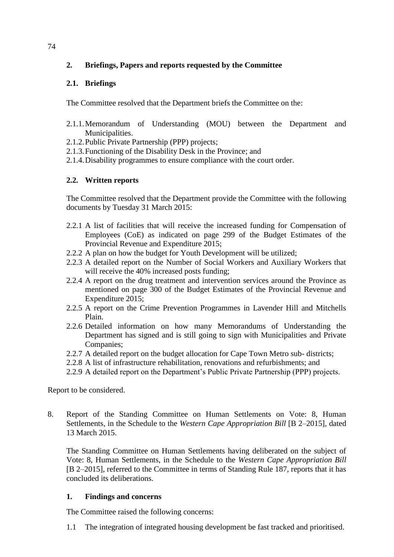## **2. Briefings, Papers and reports requested by the Committee**

## **2.1. Briefings**

The Committee resolved that the Department briefs the Committee on the:

- 2.1.1.Memorandum of Understanding (MOU) between the Department and Municipalities.
- 2.1.2.Public Private Partnership (PPP) projects;
- 2.1.3.Functioning of the Disability Desk in the Province; and
- 2.1.4.Disability programmes to ensure compliance with the court order.

## **2.2. Written reports**

The Committee resolved that the Department provide the Committee with the following documents by Tuesday 31 March 2015:

- 2.2.1 A list of facilities that will receive the increased funding for Compensation of Employees (CoE) as indicated on page 299 of the Budget Estimates of the Provincial Revenue and Expenditure 2015;
- 2.2.2 A plan on how the budget for Youth Development will be utilized;
- 2.2.3 A detailed report on the Number of Social Workers and Auxiliary Workers that will receive the 40% increased posts funding;
- 2.2.4 A report on the drug treatment and intervention services around the Province as mentioned on page 300 of the Budget Estimates of the Provincial Revenue and Expenditure 2015;
- 2.2.5 A report on the Crime Prevention Programmes in Lavender Hill and Mitchells Plain.
- 2.2.6 Detailed information on how many Memorandums of Understanding the Department has signed and is still going to sign with Municipalities and Private Companies;
- 2.2.7 A detailed report on the budget allocation for Cape Town Metro sub- districts;
- 2.2.8 A list of infrastructure rehabilitation, renovations and refurbishments; and
- 2.2.9 A detailed report on the Department's Public Private Partnership (PPP) projects.

Report to be considered.

8. Report of the Standing Committee on Human Settlements on Vote: 8, Human Settlements, in the Schedule to the *Western Cape Appropriation Bill* [B 2–2015], dated 13 March 2015.

The Standing Committee on Human Settlements having deliberated on the subject of Vote: 8, Human Settlements, in the Schedule to the *Western Cape Appropriation Bill* [B 2–2015], referred to the Committee in terms of Standing Rule 187, reports that it has concluded its deliberations.

## **1. Findings and concerns**

The Committee raised the following concerns:

1.1 The integration of integrated housing development be fast tracked and prioritised.

74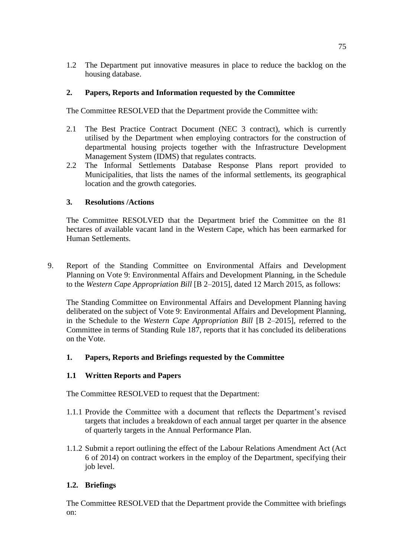1.2 The Department put innovative measures in place to reduce the backlog on the housing database.

## **2. Papers, Reports and Information requested by the Committee**

The Committee RESOLVED that the Department provide the Committee with:

- 2.1 The Best Practice Contract Document (NEC 3 contract), which is currently utilised by the Department when employing contractors for the construction of departmental housing projects together with the Infrastructure Development Management System (IDMS) that regulates contracts.
- 2.2 The Informal Settlements Database Response Plans report provided to Municipalities, that lists the names of the informal settlements, its geographical location and the growth categories.

## **3. Resolutions /Actions**

The Committee RESOLVED that the Department brief the Committee on the 81 hectares of available vacant land in the Western Cape, which has been earmarked for Human Settlements.

9. Report of the Standing Committee on Environmental Affairs and Development Planning on Vote 9: Environmental Affairs and Development Planning, in the Schedule to the *Western Cape Appropriation Bill* [B 2–2015], dated 12 March 2015, as follows:

The Standing Committee on Environmental Affairs and Development Planning having deliberated on the subject of Vote 9: Environmental Affairs and Development Planning, in the Schedule to the *Western Cape Appropriation Bill* [B 2–2015], referred to the Committee in terms of Standing Rule 187, reports that it has concluded its deliberations on the Vote.

## **1. Papers, Reports and Briefings requested by the Committee**

#### **1.1 Written Reports and Papers**

The Committee RESOLVED to request that the Department:

- 1.1.1 Provide the Committee with a document that reflects the Department's revised targets that includes a breakdown of each annual target per quarter in the absence of quarterly targets in the Annual Performance Plan.
- 1.1.2 Submit a report outlining the effect of the Labour Relations Amendment Act (Act 6 of 2014) on contract workers in the employ of the Department, specifying their job level.

## **1.2. Briefings**

The Committee RESOLVED that the Department provide the Committee with briefings on: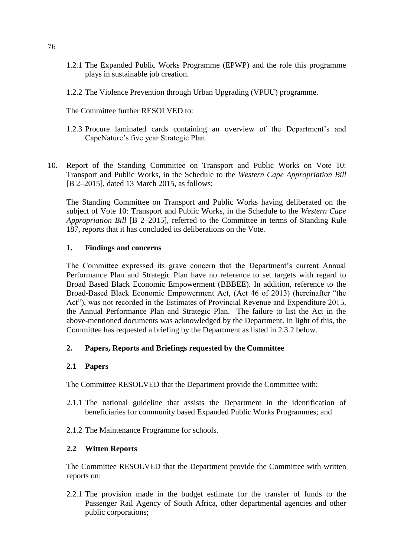- 1.2.1 The Expanded Public Works Programme (EPWP) and the role this programme plays in sustainable job creation.
- 1.2.2 The Violence Prevention through Urban Upgrading (VPUU) programme.

The Committee further RESOLVED to:

- 1.2.3 Procure laminated cards containing an overview of the Department's and CapeNature's five year Strategic Plan.
- 10. Report of the Standing Committee on Transport and Public Works on Vote 10: Transport and Public Works, in the Schedule to the *Western Cape Appropriation Bill* [B 2–2015], dated 13 March 2015, as follows:

The Standing Committee on Transport and Public Works having deliberated on the subject of Vote 10: Transport and Public Works, in the Schedule to the *Western Cape Appropriation Bill* [B 2–2015], referred to the Committee in terms of Standing Rule 187, reports that it has concluded its deliberations on the Vote.

## **1. Findings and concerns**

The Committee expressed its grave concern that the Department's current Annual Performance Plan and Strategic Plan have no reference to set targets with regard to Broad Based Black Economic Empowerment (BBBEE). In addition, reference to the Broad-Based Black Economic Empowerment Act, (Act 46 of 2013) (hereinafter "the Act"), was not recorded in the Estimates of Provincial Revenue and Expenditure 2015, the Annual Performance Plan and Strategic Plan. The failure to list the Act in the above-mentioned documents was acknowledged by the Department. In light of this, the Committee has requested a briefing by the Department as listed in 2.3.2 below.

## **2. Papers, Reports and Briefings requested by the Committee**

#### **2.1 Papers**

The Committee RESOLVED that the Department provide the Committee with:

- 2.1.1 The national guideline that assists the Department in the identification of beneficiaries for community based Expanded Public Works Programmes; and
- 2.1.2 The Maintenance Programme for schools.

#### **2.2 Witten Reports**

The Committee RESOLVED that the Department provide the Committee with written reports on:

2.2.1 The provision made in the budget estimate for the transfer of funds to the Passenger Rail Agency of South Africa, other departmental agencies and other public corporations;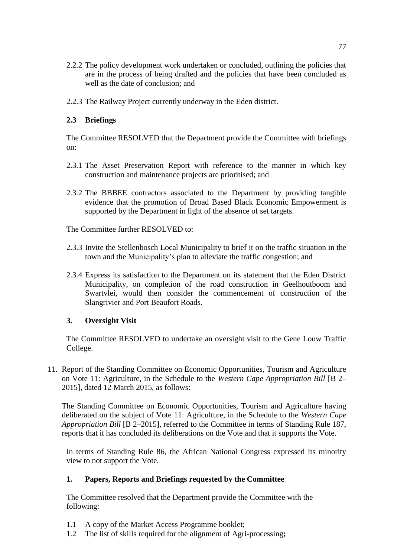- 2.2.2 The policy development work undertaken or concluded, outlining the policies that are in the process of being drafted and the policies that have been concluded as well as the date of conclusion; and
- 2.2.3 The Railway Project currently underway in the Eden district.

## **2.3 Briefings**

The Committee RESOLVED that the Department provide the Committee with briefings on:

- 2.3.1 The Asset Preservation Report with reference to the manner in which key construction and maintenance projects are prioritised; and
- 2.3.2 The BBBEE contractors associated to the Department by providing tangible evidence that the promotion of Broad Based Black Economic Empowerment is supported by the Department in light of the absence of set targets.

The Committee further RESOLVED to:

- 2.3.3 Invite the Stellenbosch Local Municipality to brief it on the traffic situation in the town and the Municipality's plan to alleviate the traffic congestion; and
- 2.3.4 Express its satisfaction to the Department on its statement that the Eden District Municipality, on completion of the road construction in Geelhoutboom and Swartvlei, would then consider the commencement of construction of the Slangrivier and Port Beaufort Roads.

#### **3. Oversight Visit**

The Committee RESOLVED to undertake an oversight visit to the Gene Louw Traffic College.

11. Report of the Standing Committee on Economic Opportunities, Tourism and Agriculture on Vote 11: Agriculture, in the Schedule to the *Western Cape Appropriation Bill* [B 2– 2015], dated 12 March 2015, as follows:

The Standing Committee on Economic Opportunities, Tourism and Agriculture having deliberated on the subject of Vote 11: Agriculture, in the Schedule to the *Western Cape Appropriation Bill* [B 2–2015], referred to the Committee in terms of Standing Rule 187, reports that it has concluded its deliberations on the Vote and that it supports the Vote.

In terms of Standing Rule 86, the African National Congress expressed its minority view to not support the Vote.

#### **1. Papers, Reports and Briefings requested by the Committee**

The Committee resolved that the Department provide the Committee with the following:

- 1.1 A copy of the Market Access Programme booklet;
- 1.2 The list of skills required for the alignment of Agri-processing**;**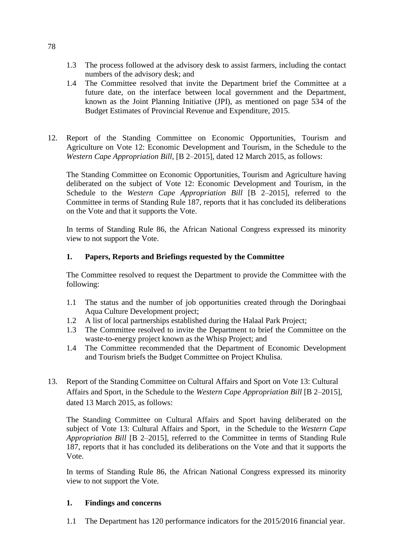- 1.3 The process followed at the advisory desk to assist farmers, including the contact numbers of the advisory desk; and
- 1.4 The Committee resolved that invite the Department brief the Committee at a future date, on the interface between local government and the Department, known as the Joint Planning Initiative (JPI), as mentioned on page 534 of the Budget Estimates of Provincial Revenue and Expenditure, 2015.
- 12. Report of the Standing Committee on Economic Opportunities, Tourism and Agriculture on Vote 12: Economic Development and Tourism, in the Schedule to the *Western Cape Appropriation Bill*, [B 2–2015], dated 12 March 2015, as follows:

The Standing Committee on Economic Opportunities, Tourism and Agriculture having deliberated on the subject of Vote 12: Economic Development and Tourism, in the Schedule to the *Western Cape Appropriation Bill* [B 2–2015], referred to the Committee in terms of Standing Rule 187, reports that it has concluded its deliberations on the Vote and that it supports the Vote.

In terms of Standing Rule 86, the African National Congress expressed its minority view to not support the Vote.

## **1. Papers, Reports and Briefings requested by the Committee**

The Committee resolved to request the Department to provide the Committee with the following:

- 1.1 The status and the number of job opportunities created through the Doringbaai Aqua Culture Development project;
- 1.2 A list of local partnerships established during the Halaal Park Project;
- 1.3 The Committee resolved to invite the Department to brief the Committee on the waste-to-energy project known as the Whisp Project; and
- 1.4 The Committee recommended that the Department of Economic Development and Tourism briefs the Budget Committee on Project Khulisa.
- 13. Report of the Standing Committee on Cultural Affairs and Sport on Vote 13: Cultural Affairs and Sport, in the Schedule to the *Western Cape Appropriation Bill* [B 2–2015], dated 13 March 2015, as follows:

The Standing Committee on Cultural Affairs and Sport having deliberated on the subject of Vote 13: Cultural Affairs and Sport, in the Schedule to the *Western Cape Appropriation Bill* [B 2–2015], referred to the Committee in terms of Standing Rule 187, reports that it has concluded its deliberations on the Vote and that it supports the Vote.

In terms of Standing Rule 86, the African National Congress expressed its minority view to not support the Vote.

## **1. Findings and concerns**

1.1 The Department has 120 performance indicators for the 2015/2016 financial year.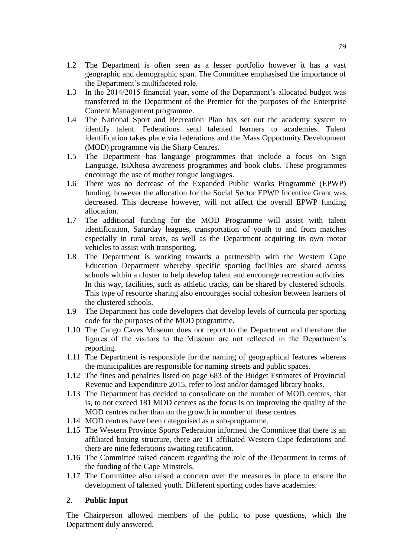- 1.2 The Department is often seen as a lesser portfolio however it has a vast geographic and demographic span. The Committee emphasised the importance of the Department's multifaceted role.
- 1.3 In the 2014/2015 financial year, some of the Department's allocated budget was transferred to the Department of the Premier for the purposes of the Enterprise Content Management programme.
- 1.4 The National Sport and Recreation Plan has set out the academy system to identify talent. Federations send talented learners to academies. Talent identification takes place via federations and the Mass Opportunity Development (MOD) programme via the Sharp Centres.
- 1.5 The Department has language programmes that include a focus on Sign Language, IsiXhosa awareness programmes and book clubs. These programmes encourage the use of mother tongue languages.
- 1.6 There was no decrease of the Expanded Public Works Programme (EPWP) funding, however the allocation for the Social Sector EPWP Incentive Grant was decreased. This decrease however, will not affect the overall EPWP funding allocation.
- 1.7 The additional funding for the MOD Programme will assist with talent identification, Saturday leagues, transportation of youth to and from matches especially in rural areas, as well as the Department acquiring its own motor vehicles to assist with transporting.
- 1.8 The Department is working towards a partnership with the Western Cape Education Department whereby specific sporting facilities are shared across schools within a cluster to help develop talent and encourage recreation activities. In this way, facilities, such as athletic tracks, can be shared by clustered schools. This type of resource sharing also encourages social cohesion between learners of the clustered schools.
- 1.9 The Department has code developers that develop levels of curricula per sporting code for the purposes of the MOD programme.
- 1.10 The Cango Caves Museum does not report to the Department and therefore the figures of the visitors to the Museum are not reflected in the Department's reporting.
- 1.11 The Department is responsible for the naming of geographical features whereas the municipalities are responsible for naming streets and public spaces.
- 1.12 The fines and penalties listed on page 683 of the Budget Estimates of Provincial Revenue and Expenditure 2015, refer to lost and/or damaged library books.
- 1.13 The Department has decided to consolidate on the number of MOD centres, that is, to not exceed 181 MOD centres as the focus is on improving the quality of the MOD centres rather than on the growth in number of these centres.
- 1.14 MOD centres have been categorised as a sub-programme.
- 1.15 The Western Province Sports Federation informed the Committee that there is an affiliated boxing structure, there are 11 affiliated Western Cape federations and there are nine federations awaiting ratification.
- 1.16 The Committee raised concern regarding the role of the Department in terms of the funding of the Cape Minstrels.
- 1.17 The Committee also raised a concern over the measures in place to ensure the development of talented youth. Different sporting codes have academies.

#### **2. Public Input**

The Chairperson allowed members of the public to pose questions, which the Department duly answered.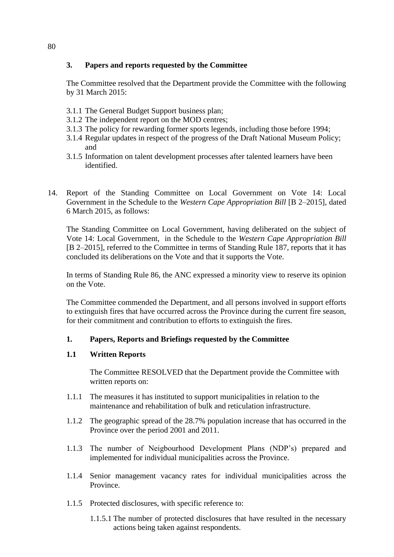## **3. Papers and reports requested by the Committee**

The Committee resolved that the Department provide the Committee with the following by 31 March 2015:

- 3.1.1 The General Budget Support business plan;
- 3.1.2 The independent report on the MOD centres;
- 3.1.3 The policy for rewarding former sports legends, including those before 1994;
- 3.1.4 Regular updates in respect of the progress of the Draft National Museum Policy; and
- 3.1.5 Information on talent development processes after talented learners have been identified.
- 14. Report of the Standing Committee on Local Government on Vote 14: Local Government in the Schedule to the *Western Cape Appropriation Bill* [B 2–2015], dated 6 March 2015, as follows:

The Standing Committee on Local Government, having deliberated on the subject of Vote 14: Local Government, in the Schedule to the *Western Cape Appropriation Bill* [B 2–2015], referred to the Committee in terms of Standing Rule 187, reports that it has concluded its deliberations on the Vote and that it supports the Vote.

In terms of Standing Rule 86, the ANC expressed a minority view to reserve its opinion on the Vote.

The Committee commended the Department, and all persons involved in support efforts to extinguish fires that have occurred across the Province during the current fire season, for their commitment and contribution to efforts to extinguish the fires.

#### **1. Papers, Reports and Briefings requested by the Committee**

#### **1.1 Written Reports**

The Committee RESOLVED that the Department provide the Committee with written reports on:

- 1.1.1 The measures it has instituted to support municipalities in relation to the maintenance and rehabilitation of bulk and reticulation infrastructure.
- 1.1.2 The geographic spread of the 28.7% population increase that has occurred in the Province over the period 2001 and 2011.
- 1.1.3 The number of Neigbourhood Development Plans (NDP's) prepared and implemented for individual municipalities across the Province.
- 1.1.4 Senior management vacancy rates for individual municipalities across the Province.
- 1.1.5 Protected disclosures, with specific reference to:
	- 1.1.5.1 The number of protected disclosures that have resulted in the necessary actions being taken against respondents.